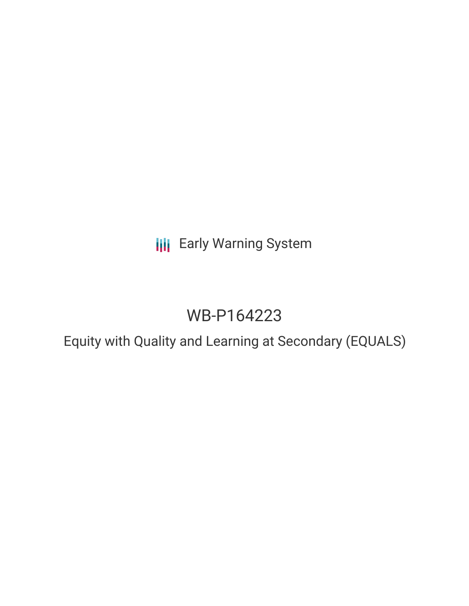## **III** Early Warning System

# WB-P164223

### Equity with Quality and Learning at Secondary (EQUALS)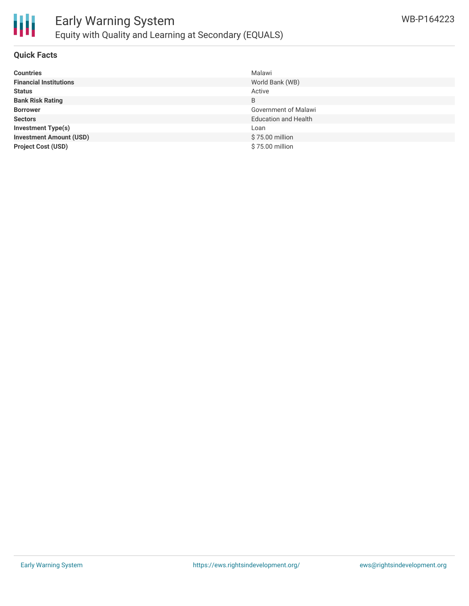

#### **Quick Facts**

| <b>Countries</b>               | Malawi                      |
|--------------------------------|-----------------------------|
| <b>Financial Institutions</b>  | World Bank (WB)             |
| <b>Status</b>                  | Active                      |
| <b>Bank Risk Rating</b>        | B                           |
| <b>Borrower</b>                | Government of Malawi        |
| <b>Sectors</b>                 | <b>Education and Health</b> |
| <b>Investment Type(s)</b>      | Loan                        |
| <b>Investment Amount (USD)</b> | \$75.00 million             |
| <b>Project Cost (USD)</b>      | \$75.00 million             |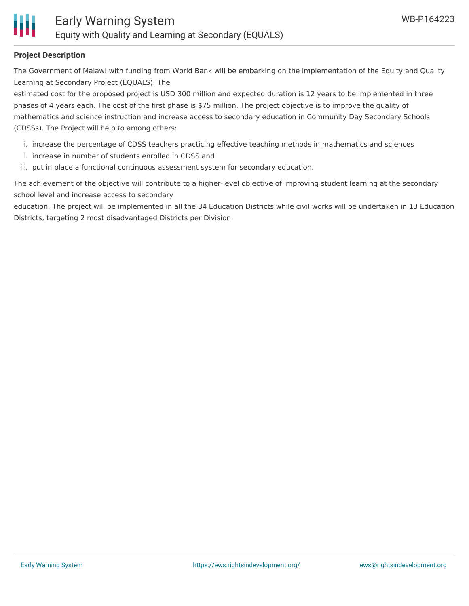#### **Project Description**

The Government of Malawi with funding from World Bank will be embarking on the implementation of the Equity and Quality Learning at Secondary Project (EQUALS). The

estimated cost for the proposed project is USD 300 million and expected duration is 12 years to be implemented in three phases of 4 years each. The cost of the first phase is \$75 million. The project objective is to improve the quality of mathematics and science instruction and increase access to secondary education in Community Day Secondary Schools (CDSSs). The Project will help to among others:

- i. increase the percentage of CDSS teachers practicing effective teaching methods in mathematics and sciences
- ii. increase in number of students enrolled in CDSS and
- iii. put in place a functional continuous assessment system for secondary education.

The achievement of the objective will contribute to a higher-level objective of improving student learning at the secondary school level and increase access to secondary

education. The project will be implemented in all the 34 Education Districts while civil works will be undertaken in 13 Education Districts, targeting 2 most disadvantaged Districts per Division.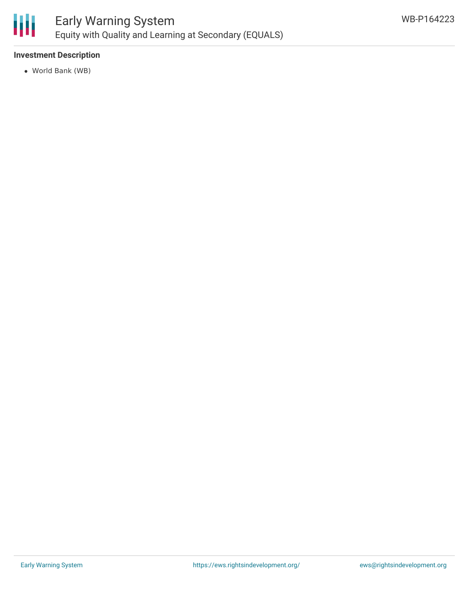

#### **Investment Description**

World Bank (WB)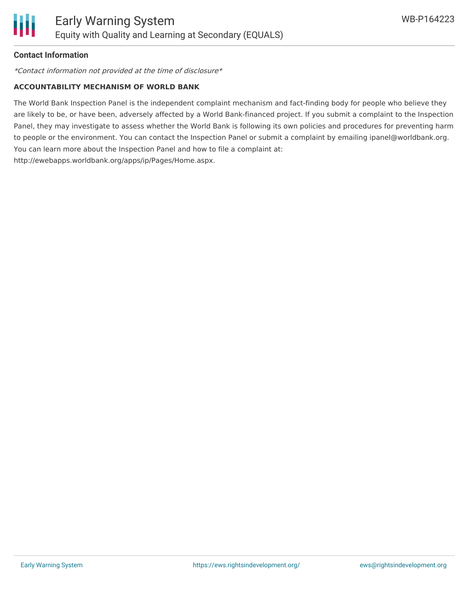#### **Contact Information**

\*Contact information not provided at the time of disclosure\*

#### **ACCOUNTABILITY MECHANISM OF WORLD BANK**

The World Bank Inspection Panel is the independent complaint mechanism and fact-finding body for people who believe they are likely to be, or have been, adversely affected by a World Bank-financed project. If you submit a complaint to the Inspection Panel, they may investigate to assess whether the World Bank is following its own policies and procedures for preventing harm to people or the environment. You can contact the Inspection Panel or submit a complaint by emailing ipanel@worldbank.org. You can learn more about the Inspection Panel and how to file a complaint at: http://ewebapps.worldbank.org/apps/ip/Pages/Home.aspx.